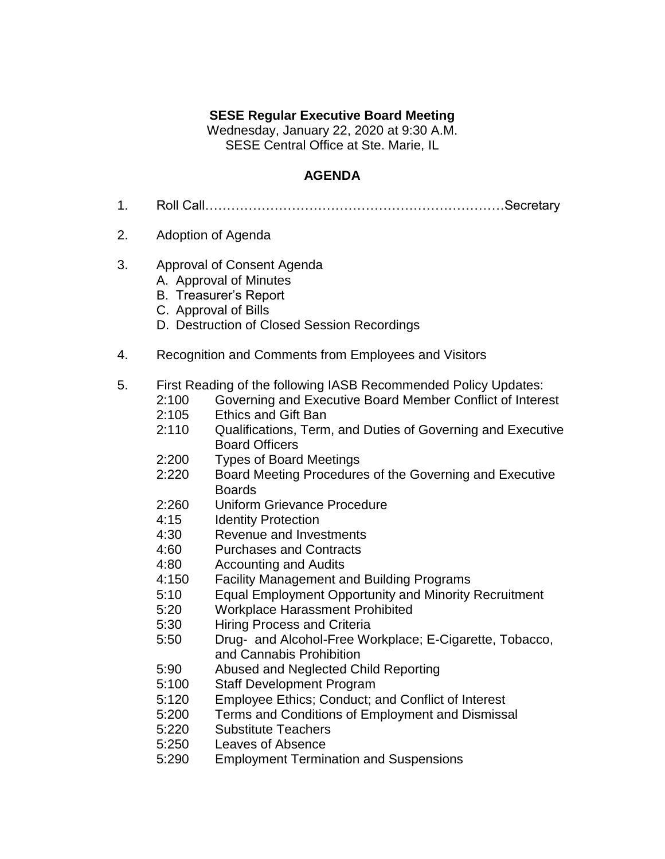## **SESE Regular Executive Board Meeting**

Wednesday, January 22, 2020 at 9:30 A.M. SESE Central Office at Ste. Marie, IL

## **AGENDA**

- 1. Roll Call……………………………………………………………Secretary
- 2. Adoption of Agenda
- 3. Approval of Consent Agenda
	- A. Approval of Minutes
	- B. Treasurer's Report
	- C. Approval of Bills
	- D. Destruction of Closed Session Recordings
- 4. Recognition and Comments from Employees and Visitors
- 5. First Reading of the following IASB Recommended Policy Updates:
	- 2:100 Governing and Executive Board Member Conflict of Interest
	- 2:105 Ethics and Gift Ban
	- 2:110 Qualifications, Term, and Duties of Governing and Executive Board Officers
	- 2:200 Types of Board Meetings
	- 2:220 Board Meeting Procedures of the Governing and Executive Boards
	- 2:260 Uniform Grievance Procedure
	- 4:15 Identity Protection
	- 4:30 Revenue and Investments
	- 4:60 Purchases and Contracts
	- 4:80 Accounting and Audits
	- 4:150 Facility Management and Building Programs
	- 5:10 Equal Employment Opportunity and Minority Recruitment
	- 5:20 Workplace Harassment Prohibited
	- 5:30 Hiring Process and Criteria
	- 5:50 Drug- and Alcohol-Free Workplace; E-Cigarette, Tobacco, and Cannabis Prohibition
	- 5:90 Abused and Neglected Child Reporting
	- 5:100 Staff Development Program
	- 5:120 Employee Ethics; Conduct; and Conflict of Interest
	- 5:200 Terms and Conditions of Employment and Dismissal
	- 5:220 Substitute Teachers
	- 5:250 Leaves of Absence
	- 5:290 Employment Termination and Suspensions